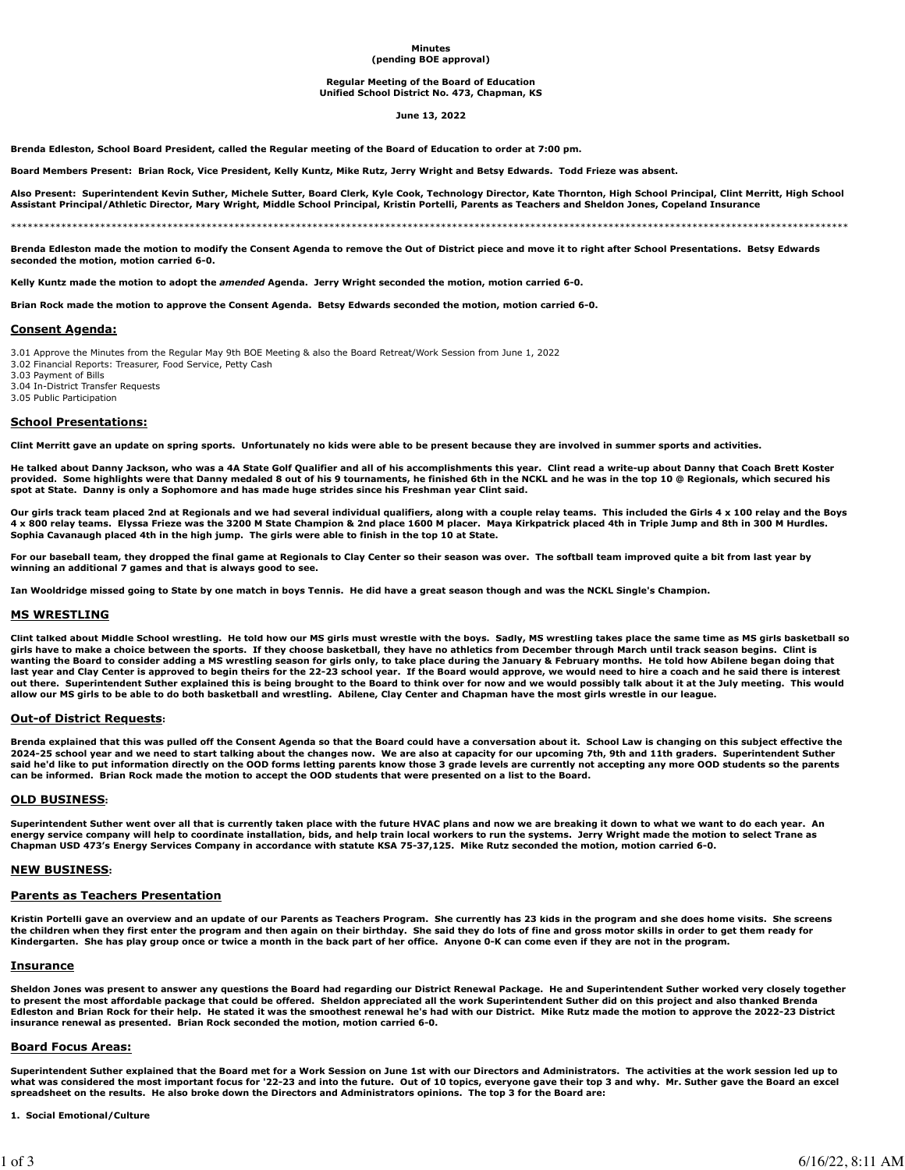#### **Minutes (pending BOE approval)**

#### **Regular Meeting of the Board of Education Unified School District No. 473, Chapman, KS**

#### **June 13, 2022**

**Brenda Edleston, School Board President, called the Regular meeting of the Board of Education to order at 7:00 pm.** 

**Board Members Present: Brian Rock, Vice President, Kelly Kuntz, Mike Rutz, Jerry Wright and Betsy Edwards. Todd Frieze was absent.**

**Also Present: Superintendent Kevin Suther, Michele Sutter, Board Clerk, Kyle Cook, Technology Director, Kate Thornton, High School Principal, Clint Merritt, High School Assistant Principal/Athletic Director, Mary Wright, Middle School Principal, Kristin Portelli, Parents as Teachers and Sheldon Jones, Copeland Insurance**

\*\*\*\*\*\*\*\*\*\*\*\*\*\*\*\*\*\*\*\*\*\*\*\*\*\*\*\*\*\*\*\*\*\*\*\*\*\*\*\*\*\*\*\*\*\*\*\*\*\*\*\*\*\*\*\*\*\*\*\*\*\*\*\*\*\*\*\*\*\*\*\*\*\*\*\*\*\*\*\*\*\*\*\*\*\*\*\*\*\*\*\*\*\*\*\*\*\*\*\*\*\*\*\*\*\*\*\*\*\*\*\*\*\*\*\*\*\*\*\*\*\*\*\*\*\*\*\*\*\*\*\*\*\*\*\*\*\*\*\*\*\*\*\*\*\*\*\*\*\*

**Brenda Edleston made the motion to modify the Consent Agenda to remove the Out of District piece and move it to right after School Presentations. Betsy Edwards seconded the motion, motion carried 6-0.**

**Kelly Kuntz made the motion to adopt the** *amended* **Agenda. Jerry Wright seconded the motion, motion carried 6-0.**

**Brian Rock made the motion to approve the Consent Agenda. Betsy Edwards seconded the motion, motion carried 6-0.**

## **Consent Agenda:**

3.01 Approve the Minutes from the Regular May 9th BOE Meeting & also the Board Retreat/Work Session from June 1, 2022

3.02 Financial Reports: Treasurer, Food Service, Petty Cash

3.03 Payment of Bills

3.04 In-District Transfer Requests 3.05 Public Participation

# **School Presentations:**

**Clint Merritt gave an update on spring sports. Unfortunately no kids were able to be present because they are involved in summer sports and activities.**

**He talked about Danny Jackson, who was a 4A State Golf Qualifier and all of his accomplishments this year. Clint read a write-up about Danny that Coach Brett Koster provided. Some highlights were that Danny medaled 8 out of his 9 tournaments, he finished 6th in the NCKL and he was in the top 10 @ Regionals, which secured his spot at State. Danny is only a Sophomore and has made huge strides since his Freshman year Clint said.**

**Our girls track team placed 2nd at Regionals and we had several individual qualifiers, along with a couple relay teams. This included the Girls 4 x 100 relay and the Boys 4 x 800 relay teams. Elyssa Frieze was the 3200 M State Champion & 2nd place 1600 M placer. Maya Kirkpatrick placed 4th in Triple Jump and 8th in 300 M Hurdles. Sophia Cavanaugh placed 4th in the high jump. The girls were able to finish in the top 10 at State.**

**For our baseball team, they dropped the final game at Regionals to Clay Center so their season was over. The softball team improved quite a bit from last year by winning an additional 7 games and that is always good to see.**

**Ian Wooldridge missed going to State by one match in boys Tennis. He did have a great season though and was the NCKL Single's Champion.**

## **MS WRESTLING**

**Clint talked about Middle School wrestling. He told how our MS girls must wrestle with the boys. Sadly, MS wrestling takes place the same time as MS girls basketball so girls have to make a choice between the sports. If they choose basketball, they have no athletics from December through March until track season begins. Clint is wanting the Board to consider adding a MS wrestling season for girls only, to take place during the January & February months. He told how Abilene began doing that last year and Clay Center is approved to begin theirs for the 22-23 school year. If the Board would approve, we would need to hire a coach and he said there is interest out there. Superintendent Suther explained this is being brought to the Board to think over for now and we would possibly talk about it at the July meeting. This would allow our MS girls to be able to do both basketball and wrestling. Abilene, Clay Center and Chapman have the most girls wrestle in our league.**

## **Out-of District Requests:**

**Brenda explained that this was pulled off the Consent Agenda so that the Board could have a conversation about it. School Law is changing on this subject effective the 2024-25 school year and we need to start talking about the changes now. We are also at capacity for our upcoming 7th, 9th and 11th graders. Superintendent Suther said he'd like to put information directly on the OOD forms letting parents know those 3 grade levels are currently not accepting any more OOD students so the parents can be informed. Brian Rock made the motion to accept the OOD students that were presented on a list to the Board.** 

## **OLD BUSINESS:**

**Superintendent Suther went over all that is currently taken place with the future HVAC plans and now we are breaking it down to what we want to do each year. An energy service company will help to coordinate installation, bids, and help train local workers to run the systems. Jerry Wright made the motion to select Trane as Chapman USD 473's Energy Services Company in accordance with statute KSA 75-37,125. Mike Rutz seconded the motion, motion carried 6-0.** 

## **NEW BUSINESS:**

## **Parents as Teachers Presentation**

**Kristin Portelli gave an overview and an update of our Parents as Teachers Program. She currently has 23 kids in the program and she does home visits. She screens the children when they first enter the program and then again on their birthday. She said they do lots of fine and gross motor skills in order to get them ready for Kindergarten. She has play group once or twice a month in the back part of her office. Anyone 0-K can come even if they are not in the program.**

## **Insurance**

**Sheldon Jones was present to answer any questions the Board had regarding our District Renewal Package. He and Superintendent Suther worked very closely together to present the most affordable package that could be offered. Sheldon appreciated all the work Superintendent Suther did on this project and also thanked Brenda Edleston and Brian Rock for their help. He stated it was the smoothest renewal he's had with our District. Mike Rutz made the motion to approve the 2022-23 District insurance renewal as presented. Brian Rock seconded the motion, motion carried 6-0.**

## **Board Focus Areas:**

**Superintendent Suther explained that the Board met for a Work Session on June 1st with our Directors and Administrators. The activities at the work session led up to what was considered the most important focus for '22-23 and into the future. Out of 10 topics, everyone gave their top 3 and why. Mr. Suther gave the Board an excel spreadsheet on the results. He also broke down the Directors and Administrators opinions. The top 3 for the Board are:**

#### **1. Social Emotional/Culture**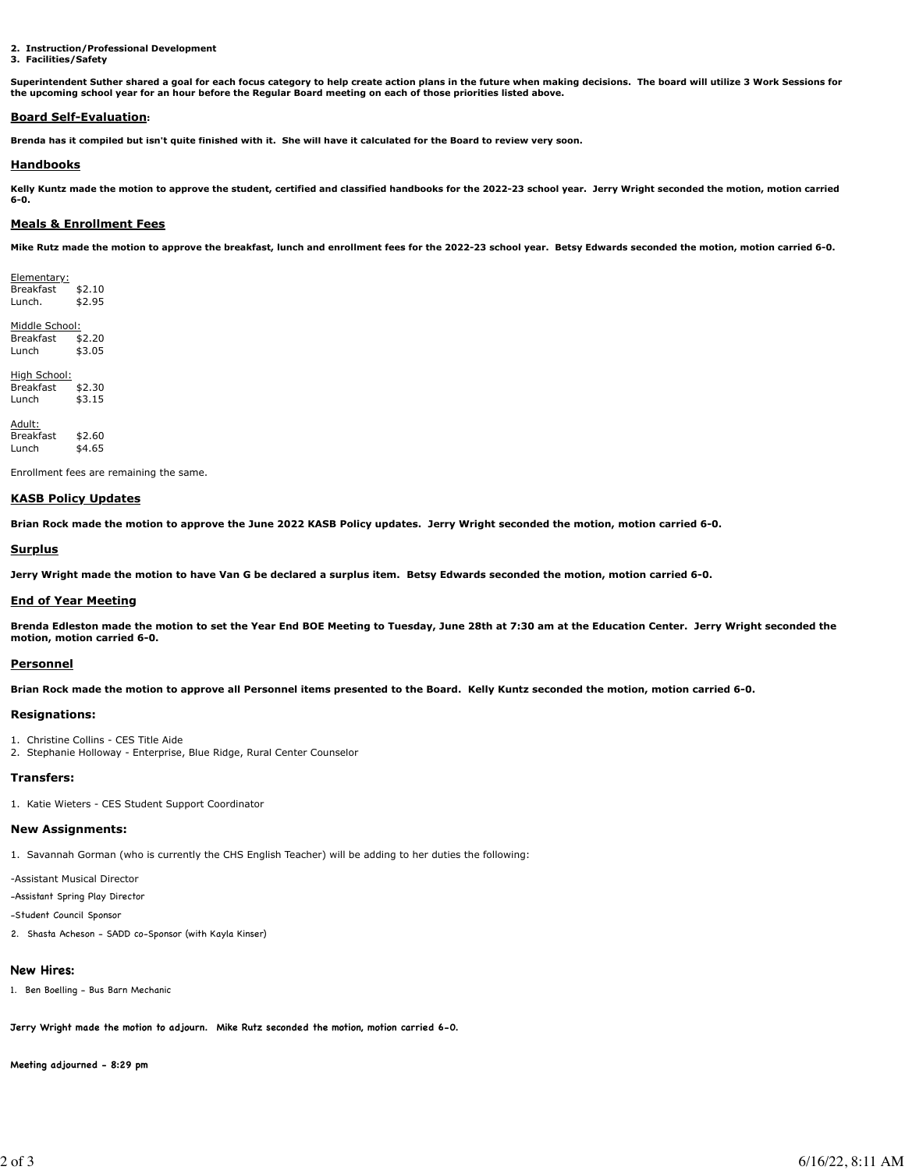**2. Instruction/Professional Development**

#### **3. Facilities/Safety**

**Superintendent Suther shared a goal for each focus category to help create action plans in the future when making decisions. The board will utilize 3 Work Sessions for the upcoming school year for an hour before the Regular Board meeting on each of those priorities listed above.**

## **Board Self-Evaluation:**

**Brenda has it compiled but isn't quite finished with it. She will have it calculated for the Board to review very soon.**

## **Handbooks**

**Kelly Kuntz made the motion to approve the student, certified and classified handbooks for the 2022-23 school year. Jerry Wright seconded the motion, motion carried 6-0.**

## **Meals & Enrollment Fees**

**Mike Rutz made the motion to approve the breakfast, lunch and enrollment fees for the 2022-23 school year. Betsy Edwards seconded the motion, motion carried 6-0.**

Elementary: Breakfast \$2.10 Lunch. \$2.95

Middle School:<br>Breakfast \$2.20 **Breakfast** Lunch \$3.05

High School: Breakfast \$2.30 Lunch \$3.15

Adult: Breakfast \$2.60 Lunch \$4.65

Enrollment fees are remaining the same.

## **KASB Policy Updates**

**Brian Rock made the motion to approve the June 2022 KASB Policy updates. Jerry Wright seconded the motion, motion carried 6-0.**

## **Surplus**

**Jerry Wright made the motion to have Van G be declared a surplus item. Betsy Edwards seconded the motion, motion carried 6-0.**

## **End of Year Meeting**

**Brenda Edleston made the motion to set the Year End BOE Meeting to Tuesday, June 28th at 7:30 am at the Education Center. Jerry Wright seconded the motion, motion carried 6-0.**

## **Personnel**

**Brian Rock made the motion to approve all Personnel items presented to the Board. Kelly Kuntz seconded the motion, motion carried 6-0.**

## **Resignations:**

```
1. Christine Collins - CES Title Aide
```
2. Stephanie Holloway - Enterprise, Blue Ridge, Rural Center Counselor

## **Transfers:**

1. Katie Wieters - CES Student Support Coordinator

## **New Assignments:**

1. Savannah Gorman (who is currently the CHS English Teacher) will be adding to her duties the following:

-Assistant Musical Director

-Assistant Spring Play Director

-Student Council Sponsor

2. Shasta Acheson - SADD co-Sponsor (with Kayla Kinser)

# **New Hires:**

1. Ben Boelling - Bus Barn Mechanic

**Jerry Wright made the motion to adjourn. Mike Rutz seconded the motion, motion carried 6-0.**

**Meeting adjourned - 8:29 pm**